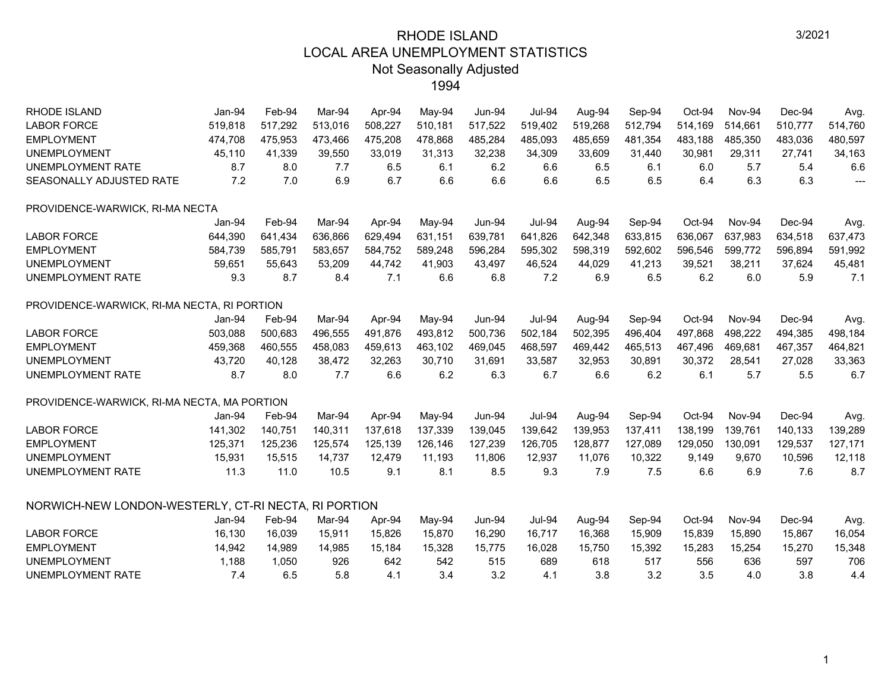| <b>RHODE ISLAND</b>                                  | Jan-94  | Feb-94  | Mar-94  | Apr-94  | May-94   | $Jun-94$      | <b>Jul-94</b> | Aug-94  | Sep-94  | Oct-94   | <b>Nov-94</b> | Dec-94   | Avg.                     |
|------------------------------------------------------|---------|---------|---------|---------|----------|---------------|---------------|---------|---------|----------|---------------|----------|--------------------------|
| <b>LABOR FORCE</b>                                   | 519,818 | 517,292 | 513,016 | 508,227 | 510,181  | 517,522       | 519,402       | 519,268 | 512,794 | 514,169  | 514,661       | 510,777  | 514,760                  |
| <b>EMPLOYMENT</b>                                    | 474,708 | 475,953 | 473,466 | 475,208 | 478,868  | 485,284       | 485,093       | 485,659 | 481,354 | 483,188  | 485,350       | 483,036  | 480,597                  |
| <b>UNEMPLOYMENT</b>                                  | 45,110  | 41,339  | 39,550  | 33,019  | 31,313   | 32,238        | 34,309        | 33,609  | 31,440  | 30,981   | 29,311        | 27,741   | 34,163                   |
| <b>UNEMPLOYMENT RATE</b>                             | 8.7     | 8.0     | 7.7     | 6.5     | 6.1      | 6.2           | 6.6           | 6.5     | 6.1     | 6.0      | 5.7           | 5.4      | 6.6                      |
| SEASONALLY ADJUSTED RATE                             | 7.2     | 7.0     | 6.9     | 6.7     | 6.6      | 6.6           | 6.6           | 6.5     | 6.5     | 6.4      | 6.3           | 6.3      | $\overline{\phantom{a}}$ |
| PROVIDENCE-WARWICK, RI-MA NECTA                      |         |         |         |         |          |               |               |         |         |          |               |          |                          |
|                                                      | Jan-94  | Feb-94  | Mar-94  | Apr-94  | May-94   | $Jun-94$      | <b>Jul-94</b> | Aug-94  | Sep-94  | Oct-94   | Nov-94        | Dec-94   | Avg.                     |
| <b>LABOR FORCE</b>                                   | 644,390 | 641,434 | 636,866 | 629,494 | 631,151  | 639,781       | 641,826       | 642,348 | 633,815 | 636,067  | 637,983       | 634,518  | 637,473                  |
| <b>EMPLOYMENT</b>                                    | 584,739 | 585,791 | 583,657 | 584,752 | 589,248  | 596,284       | 595,302       | 598,319 | 592,602 | 596,546  | 599,772       | 596,894  | 591,992                  |
| <b>UNEMPLOYMENT</b>                                  | 59,651  | 55,643  | 53,209  | 44,742  | 41,903   | 43,497        | 46,524        | 44,029  | 41,213  | 39,521   | 38,211        | 37,624   | 45,481                   |
| UNEMPLOYMENT RATE                                    | 9.3     | 8.7     | 8.4     | 7.1     | 6.6      | 6.8           | 7.2           | 6.9     | 6.5     | 6.2      | 6.0           | 5.9      | 7.1                      |
| PROVIDENCE-WARWICK, RI-MA NECTA, RI PORTION          |         |         |         |         |          |               |               |         |         |          |               |          |                          |
|                                                      | Jan-94  | Feb-94  | Mar-94  | Apr-94  | $May-94$ | <b>Jun-94</b> | <b>Jul-94</b> | Aug-94  | Sep-94  | $Oct-94$ | Nov-94        | $Dec-94$ | Avg.                     |
| <b>LABOR FORCE</b>                                   | 503,088 | 500,683 | 496,555 | 491,876 | 493,812  | 500,736       | 502,184       | 502,395 | 496,404 | 497,868  | 498,222       | 494,385  | 498,184                  |
| <b>EMPLOYMENT</b>                                    | 459,368 | 460,555 | 458,083 | 459,613 | 463,102  | 469,045       | 468,597       | 469,442 | 465,513 | 467,496  | 469,681       | 467,357  | 464,821                  |
| <b>UNEMPLOYMENT</b>                                  | 43,720  | 40,128  | 38,472  | 32,263  | 30,710   | 31,691        | 33,587        | 32,953  | 30,891  | 30,372   | 28,541        | 27,028   | 33,363                   |
| <b>UNEMPLOYMENT RATE</b>                             | 8.7     | 8.0     | 7.7     | 6.6     | 6.2      | 6.3           | 6.7           | 6.6     | 6.2     | 6.1      | 5.7           | 5.5      | 6.7                      |
| PROVIDENCE-WARWICK, RI-MA NECTA, MA PORTION          |         |         |         |         |          |               |               |         |         |          |               |          |                          |
|                                                      | Jan-94  | Feb-94  | Mar-94  | Apr-94  | May-94   | Jun-94        | <b>Jul-94</b> | Aug-94  | Sep-94  | Oct-94   | Nov-94        | Dec-94   | Avg.                     |
| <b>LABOR FORCE</b>                                   | 141,302 | 140,751 | 140,311 | 137,618 | 137,339  | 139,045       | 139,642       | 139,953 | 137,411 | 138,199  | 139,761       | 140,133  | 139,289                  |
| <b>EMPLOYMENT</b>                                    | 125,371 | 125,236 | 125,574 | 125,139 | 126,146  | 127,239       | 126,705       | 128,877 | 127,089 | 129,050  | 130,091       | 129,537  | 127,171                  |
| <b>UNEMPLOYMENT</b>                                  | 15,931  | 15,515  | 14,737  | 12,479  | 11,193   | 11,806        | 12,937        | 11,076  | 10,322  | 9,149    | 9,670         | 10,596   | 12,118                   |
| <b>UNEMPLOYMENT RATE</b>                             | 11.3    | 11.0    | 10.5    | 9.1     | 8.1      | 8.5           | 9.3           | 7.9     | 7.5     | 6.6      | 6.9           | 7.6      | 8.7                      |
| NORWICH-NEW LONDON-WESTERLY, CT-RI NECTA, RI PORTION |         |         |         |         |          |               |               |         |         |          |               |          |                          |
|                                                      | Jan-94  | Feb-94  | Mar-94  | Apr-94  | May-94   | <b>Jun-94</b> | <b>Jul-94</b> | Aug-94  | Sep-94  | Oct-94   | Nov-94        | Dec-94   | Avg.                     |
| <b>LABOR FORCE</b>                                   | 16,130  | 16,039  | 15,911  | 15,826  | 15,870   | 16,290        | 16,717        | 16,368  | 15,909  | 15,839   | 15,890        | 15,867   | 16,054                   |
| <b>EMPLOYMENT</b>                                    | 14,942  | 14,989  | 14,985  | 15,184  | 15,328   | 15,775        | 16,028        | 15,750  | 15,392  | 15,283   | 15,254        | 15,270   | 15,348                   |
| <b>UNEMPLOYMENT</b>                                  | 1,188   | 1,050   | 926     | 642     | 542      | 515           | 689           | 618     | 517     | 556      | 636           | 597      | 706                      |
| <b>UNEMPLOYMENT RATE</b>                             | 7.4     | 6.5     | 5.8     | 4.1     | 3.4      | 3.2           | 4.1           | 3.8     | 3.2     | 3.5      | 4.0           | 3.8      | 4.4                      |
|                                                      |         |         |         |         |          |               |               |         |         |          |               |          |                          |

1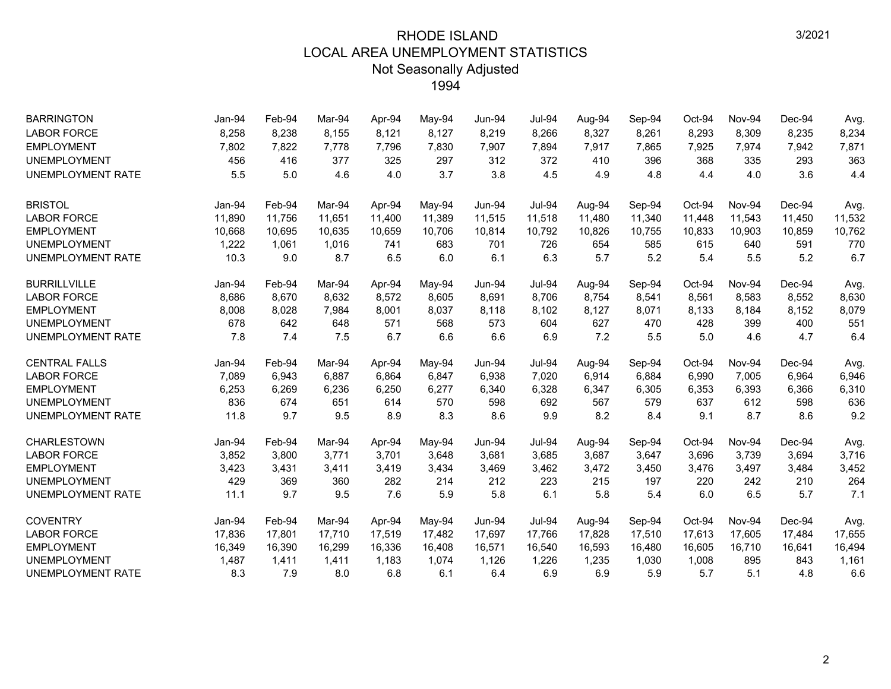| <b>BARRINGTON</b>        | Jan-94 | Feb-94 | Mar-94 | Apr-94 | May-94 | <b>Jun-94</b> | <b>Jul-94</b> | Aug-94 | Sep-94 | Oct-94 | Nov-94 | Dec-94 | Avg.   |
|--------------------------|--------|--------|--------|--------|--------|---------------|---------------|--------|--------|--------|--------|--------|--------|
| <b>LABOR FORCE</b>       | 8,258  | 8,238  | 8,155  | 8,121  | 8,127  | 8,219         | 8,266         | 8,327  | 8,261  | 8,293  | 8,309  | 8,235  | 8,234  |
| <b>EMPLOYMENT</b>        | 7,802  | 7,822  | 7,778  | 7,796  | 7,830  | 7,907         | 7,894         | 7,917  | 7,865  | 7,925  | 7,974  | 7,942  | 7,871  |
| <b>UNEMPLOYMENT</b>      | 456    | 416    | 377    | 325    | 297    | 312           | 372           | 410    | 396    | 368    | 335    | 293    | 363    |
| UNEMPLOYMENT RATE        | 5.5    | 5.0    | 4.6    | 4.0    | 3.7    | 3.8           | 4.5           | 4.9    | 4.8    | 4.4    | 4.0    | 3.6    | 4.4    |
| <b>BRISTOL</b>           | Jan-94 | Feb-94 | Mar-94 | Apr-94 | May-94 | <b>Jun-94</b> | <b>Jul-94</b> | Aug-94 | Sep-94 | Oct-94 | Nov-94 | Dec-94 | Avg.   |
| <b>LABOR FORCE</b>       | 11,890 | 11,756 | 11,651 | 11,400 | 11,389 | 11,515        | 11,518        | 11,480 | 11,340 | 11,448 | 11,543 | 11,450 | 11,532 |
| <b>EMPLOYMENT</b>        | 10,668 | 10,695 | 10,635 | 10,659 | 10,706 | 10,814        | 10,792        | 10,826 | 10,755 | 10,833 | 10,903 | 10,859 | 10,762 |
| <b>UNEMPLOYMENT</b>      | 1,222  | 1,061  | 1,016  | 741    | 683    | 701           | 726           | 654    | 585    | 615    | 640    | 591    | 770    |
| <b>UNEMPLOYMENT RATE</b> | 10.3   | 9.0    | 8.7    | 6.5    | 6.0    | 6.1           | 6.3           | 5.7    | 5.2    | 5.4    | 5.5    | 5.2    | 6.7    |
| <b>BURRILLVILLE</b>      | Jan-94 | Feb-94 | Mar-94 | Apr-94 | May-94 | Jun-94        | <b>Jul-94</b> | Aug-94 | Sep-94 | Oct-94 | Nov-94 | Dec-94 | Avg.   |
| <b>LABOR FORCE</b>       | 8,686  | 8,670  | 8,632  | 8,572  | 8,605  | 8,691         | 8,706         | 8,754  | 8,541  | 8,561  | 8,583  | 8,552  | 8,630  |
| <b>EMPLOYMENT</b>        | 8,008  | 8,028  | 7,984  | 8,001  | 8,037  | 8,118         | 8,102         | 8,127  | 8,071  | 8,133  | 8,184  | 8,152  | 8,079  |
| <b>UNEMPLOYMENT</b>      | 678    | 642    | 648    | 571    | 568    | 573           | 604           | 627    | 470    | 428    | 399    | 400    | 551    |
| UNEMPLOYMENT RATE        | 7.8    | 7.4    | 7.5    | 6.7    | 6.6    | 6.6           | 6.9           | 7.2    | 5.5    | 5.0    | 4.6    | 4.7    | 6.4    |
| <b>CENTRAL FALLS</b>     | Jan-94 | Feb-94 | Mar-94 | Apr-94 | May-94 | <b>Jun-94</b> | <b>Jul-94</b> | Aug-94 | Sep-94 | Oct-94 | Nov-94 | Dec-94 | Avg.   |
| <b>LABOR FORCE</b>       | 7,089  | 6,943  | 6,887  | 6,864  | 6,847  | 6,938         | 7,020         | 6,914  | 6,884  | 6,990  | 7,005  | 6,964  | 6,946  |
| <b>EMPLOYMENT</b>        | 6,253  | 6,269  | 6,236  | 6,250  | 6,277  | 6,340         | 6,328         | 6,347  | 6,305  | 6,353  | 6,393  | 6,366  | 6,310  |
| <b>UNEMPLOYMENT</b>      | 836    | 674    | 651    | 614    | 570    | 598           | 692           | 567    | 579    | 637    | 612    | 598    | 636    |
| <b>UNEMPLOYMENT RATE</b> | 11.8   | 9.7    | 9.5    | 8.9    | 8.3    | 8.6           | 9.9           | 8.2    | 8.4    | 9.1    | 8.7    | 8.6    | 9.2    |
| <b>CHARLESTOWN</b>       | Jan-94 | Feb-94 | Mar-94 | Apr-94 | May-94 | <b>Jun-94</b> | <b>Jul-94</b> | Aug-94 | Sep-94 | Oct-94 | Nov-94 | Dec-94 | Avg.   |
| <b>LABOR FORCE</b>       | 3,852  | 3,800  | 3,771  | 3,701  | 3,648  | 3,681         | 3,685         | 3,687  | 3,647  | 3,696  | 3,739  | 3,694  | 3,716  |
| <b>EMPLOYMENT</b>        | 3,423  | 3,431  | 3,411  | 3,419  | 3,434  | 3,469         | 3,462         | 3,472  | 3,450  | 3,476  | 3,497  | 3,484  | 3,452  |
| <b>UNEMPLOYMENT</b>      | 429    | 369    | 360    | 282    | 214    | 212           | 223           | 215    | 197    | 220    | 242    | 210    | 264    |
| <b>UNEMPLOYMENT RATE</b> | 11.1   | 9.7    | 9.5    | 7.6    | 5.9    | 5.8           | 6.1           | 5.8    | 5.4    | 6.0    | 6.5    | 5.7    | 7.1    |
| <b>COVENTRY</b>          | Jan-94 | Feb-94 | Mar-94 | Apr-94 | May-94 | <b>Jun-94</b> | <b>Jul-94</b> | Aug-94 | Sep-94 | Oct-94 | Nov-94 | Dec-94 | Avg.   |
| <b>LABOR FORCE</b>       | 17,836 | 17,801 | 17,710 | 17,519 | 17,482 | 17,697        | 17,766        | 17,828 | 17,510 | 17,613 | 17,605 | 17,484 | 17,655 |
| <b>EMPLOYMENT</b>        | 16,349 | 16,390 | 16,299 | 16,336 | 16,408 | 16,571        | 16,540        | 16,593 | 16,480 | 16,605 | 16,710 | 16,641 | 16,494 |
| <b>UNEMPLOYMENT</b>      | 1,487  | 1,411  | 1,411  | 1,183  | 1,074  | 1,126         | 1,226         | 1,235  | 1,030  | 1,008  | 895    | 843    | 1,161  |
| UNEMPLOYMENT RATE        | 8.3    | 7.9    | 8.0    | 6.8    | 6.1    | 6.4           | 6.9           | 6.9    | 5.9    | 5.7    | 5.1    | 4.8    | 6.6    |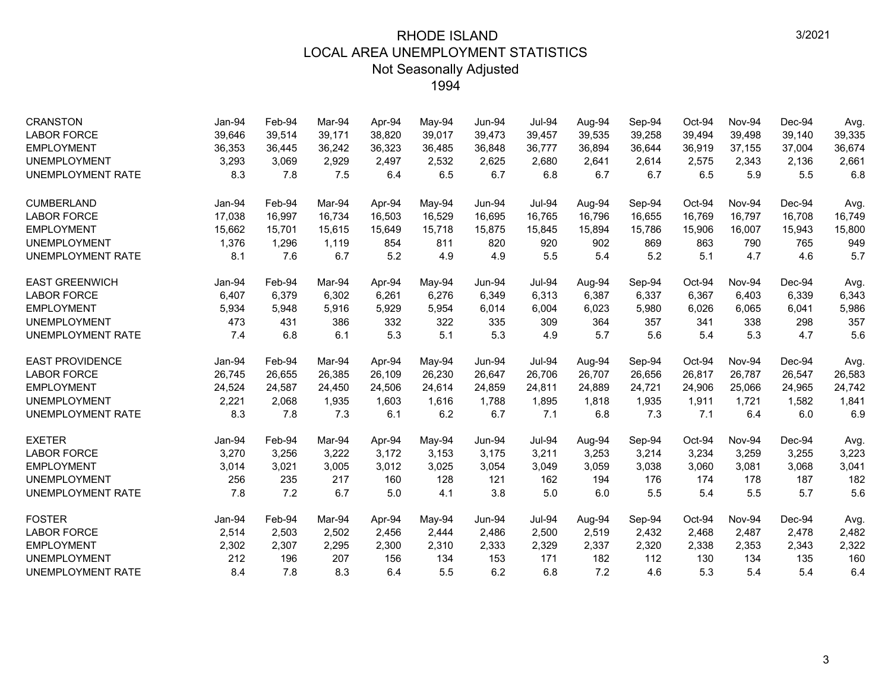| <b>CRANSTON</b>          | Jan-94 | Feb-94 | Mar-94 | Apr-94 | May-94 | Jun-94        | <b>Jul-94</b> | Aug-94 | Sep-94 | Oct-94 | Nov-94 | Dec-94 | Avg.   |
|--------------------------|--------|--------|--------|--------|--------|---------------|---------------|--------|--------|--------|--------|--------|--------|
| <b>LABOR FORCE</b>       | 39,646 | 39,514 | 39,171 | 38,820 | 39,017 | 39,473        | 39,457        | 39,535 | 39,258 | 39.494 | 39.498 | 39,140 | 39,335 |
| <b>EMPLOYMENT</b>        | 36,353 | 36,445 | 36.242 | 36,323 | 36,485 | 36,848        | 36,777        | 36,894 | 36,644 | 36,919 | 37,155 | 37,004 | 36,674 |
| <b>UNEMPLOYMENT</b>      | 3,293  | 3,069  | 2,929  | 2.497  | 2,532  | 2,625         | 2,680         | 2,641  | 2,614  | 2,575  | 2,343  | 2,136  | 2,661  |
| <b>UNEMPLOYMENT RATE</b> | 8.3    | 7.8    | 7.5    | 6.4    | 6.5    | 6.7           | 6.8           | 6.7    | 6.7    | 6.5    | 5.9    | 5.5    | 6.8    |
| <b>CUMBERLAND</b>        | Jan-94 | Feb-94 | Mar-94 | Apr-94 | May-94 | <b>Jun-94</b> | <b>Jul-94</b> | Aug-94 | Sep-94 | Oct-94 | Nov-94 | Dec-94 | Avg.   |
| <b>LABOR FORCE</b>       | 17,038 | 16,997 | 16,734 | 16,503 | 16,529 | 16,695        | 16,765        | 16,796 | 16,655 | 16,769 | 16,797 | 16,708 | 16,749 |
| <b>EMPLOYMENT</b>        | 15,662 | 15,701 | 15,615 | 15,649 | 15,718 | 15,875        | 15,845        | 15,894 | 15,786 | 15,906 | 16,007 | 15,943 | 15,800 |
| <b>UNEMPLOYMENT</b>      | 1,376  | 1,296  | 1,119  | 854    | 811    | 820           | 920           | 902    | 869    | 863    | 790    | 765    | 949    |
| UNEMPLOYMENT RATE        | 8.1    | 7.6    | 6.7    | 5.2    | 4.9    | 4.9           | 5.5           | 5.4    | 5.2    | 5.1    | 4.7    | 4.6    | 5.7    |
| <b>EAST GREENWICH</b>    | Jan-94 | Feb-94 | Mar-94 | Apr-94 | May-94 | <b>Jun-94</b> | <b>Jul-94</b> | Aug-94 | Sep-94 | Oct-94 | Nov-94 | Dec-94 | Avg.   |
| <b>LABOR FORCE</b>       | 6,407  | 6,379  | 6.302  | 6,261  | 6,276  | 6,349         | 6,313         | 6,387  | 6,337  | 6,367  | 6,403  | 6,339  | 6,343  |
| <b>EMPLOYMENT</b>        | 5,934  | 5,948  | 5,916  | 5,929  | 5,954  | 6,014         | 6,004         | 6,023  | 5,980  | 6,026  | 6,065  | 6,041  | 5,986  |
| <b>UNEMPLOYMENT</b>      | 473    | 431    | 386    | 332    | 322    | 335           | 309           | 364    | 357    | 341    | 338    | 298    | 357    |
| <b>UNEMPLOYMENT RATE</b> | 7.4    | 6.8    | 6.1    | 5.3    | 5.1    | 5.3           | 4.9           | 5.7    | 5.6    | 5.4    | 5.3    | 4.7    | 5.6    |
| <b>EAST PROVIDENCE</b>   | Jan-94 | Feb-94 | Mar-94 | Apr-94 | May-94 | Jun-94        | <b>Jul-94</b> | Aug-94 | Sep-94 | Oct-94 | Nov-94 | Dec-94 | Avg.   |
| <b>LABOR FORCE</b>       | 26,745 | 26,655 | 26,385 | 26,109 | 26,230 | 26,647        | 26,706        | 26,707 | 26,656 | 26,817 | 26,787 | 26,547 | 26,583 |
| <b>EMPLOYMENT</b>        | 24,524 | 24,587 | 24.450 | 24.506 | 24,614 | 24,859        | 24,811        | 24,889 | 24,721 | 24,906 | 25,066 | 24,965 | 24,742 |
| <b>UNEMPLOYMENT</b>      | 2,221  | 2,068  | 1,935  | 1,603  | 1,616  | 1,788         | 1,895         | 1,818  | 1,935  | 1,911  | 1,721  | 1,582  | 1,841  |
| UNEMPLOYMENT RATE        | 8.3    | 7.8    | 7.3    | 6.1    | 6.2    | 6.7           | 7.1           | 6.8    | 7.3    | 7.1    | 6.4    | 6.0    | 6.9    |
| <b>EXETER</b>            | Jan-94 | Feb-94 | Mar-94 | Apr-94 | May-94 | <b>Jun-94</b> | <b>Jul-94</b> | Aug-94 | Sep-94 | Oct-94 | Nov-94 | Dec-94 | Avg.   |
| <b>LABOR FORCE</b>       | 3,270  | 3,256  | 3,222  | 3,172  | 3,153  | 3,175         | 3,211         | 3,253  | 3,214  | 3,234  | 3,259  | 3,255  | 3,223  |
| <b>EMPLOYMENT</b>        | 3,014  | 3,021  | 3,005  | 3,012  | 3,025  | 3,054         | 3,049         | 3,059  | 3,038  | 3,060  | 3,081  | 3,068  | 3,041  |
| <b>UNEMPLOYMENT</b>      | 256    | 235    | 217    | 160    | 128    | 121           | 162           | 194    | 176    | 174    | 178    | 187    | 182    |
| UNEMPLOYMENT RATE        | 7.8    | 7.2    | 6.7    | 5.0    | 4.1    | 3.8           | 5.0           | 6.0    | 5.5    | 5.4    | 5.5    | 5.7    | 5.6    |
| <b>FOSTER</b>            | Jan-94 | Feb-94 | Mar-94 | Apr-94 | May-94 | <b>Jun-94</b> | <b>Jul-94</b> | Aug-94 | Sep-94 | Oct-94 | Nov-94 | Dec-94 | Avg.   |
| <b>LABOR FORCE</b>       | 2,514  | 2,503  | 2,502  | 2,456  | 2,444  | 2,486         | 2,500         | 2,519  | 2,432  | 2,468  | 2,487  | 2,478  | 2,482  |
| <b>EMPLOYMENT</b>        | 2,302  | 2,307  | 2,295  | 2,300  | 2,310  | 2,333         | 2,329         | 2,337  | 2,320  | 2,338  | 2,353  | 2,343  | 2,322  |
| <b>UNEMPLOYMENT</b>      | 212    | 196    | 207    | 156    | 134    | 153           | 171           | 182    | 112    | 130    | 134    | 135    | 160    |
| <b>UNEMPLOYMENT RATE</b> | 8.4    | 7.8    | 8.3    | 6.4    | 5.5    | 6.2           | 6.8           | 7.2    | 4.6    | 5.3    | 5.4    | 5.4    | 6.4    |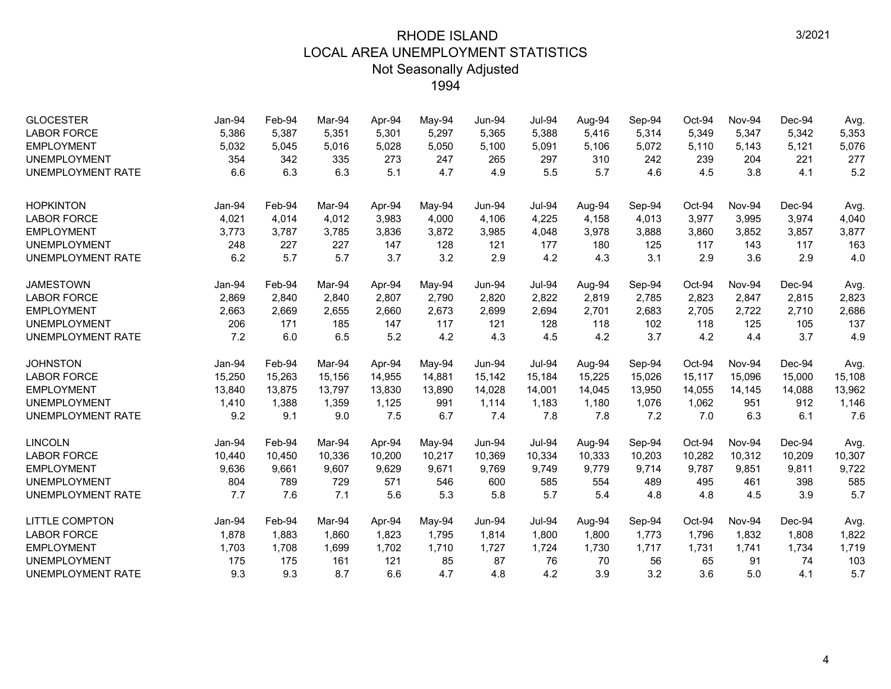| <b>GLOCESTER</b><br><b>LABOR FORCE</b><br><b>EMPLOYMENT</b><br><b>UNEMPLOYMENT</b> | Jan-94<br>5,386<br>5,032<br>354 | Feb-94<br>5,387<br>5,045<br>342 | Mar-94<br>5,351<br>5,016<br>335 | Apr-94<br>5,301<br>5,028<br>273 | May-94<br>5,297<br>5,050<br>247 | <b>Jun-94</b><br>5,365<br>5,100<br>265 | <b>Jul-94</b><br>5,388<br>5,091<br>297 | Aug-94<br>5,416<br>5,106<br>310 | Sep-94<br>5,314<br>5,072<br>242 | Oct-94<br>5,349<br>5,110<br>239 | Nov-94<br>5,347<br>5,143<br>204 | Dec-94<br>5,342<br>5,121<br>221 | Avg.<br>5,353<br>5,076<br>277 |
|------------------------------------------------------------------------------------|---------------------------------|---------------------------------|---------------------------------|---------------------------------|---------------------------------|----------------------------------------|----------------------------------------|---------------------------------|---------------------------------|---------------------------------|---------------------------------|---------------------------------|-------------------------------|
| <b>UNEMPLOYMENT RATE</b>                                                           | 6.6                             | 6.3                             | 6.3                             | 5.1                             | 4.7                             | 4.9                                    | 5.5                                    | 5.7                             | 4.6                             | 4.5                             | 3.8                             | 4.1                             | 5.2                           |
| <b>HOPKINTON</b>                                                                   | Jan-94                          | Feb-94                          | Mar-94                          | Apr-94                          | May-94                          | Jun-94                                 | <b>Jul-94</b>                          | Aug-94                          | Sep-94                          | Oct-94                          | Nov-94                          | Dec-94                          | Avg.                          |
| <b>LABOR FORCE</b>                                                                 | 4,021                           | 4,014                           | 4,012                           | 3,983                           | 4,000                           | 4,106                                  | 4,225                                  | 4,158                           | 4,013                           | 3,977                           | 3,995                           | 3,974                           | 4,040                         |
| <b>EMPLOYMENT</b>                                                                  | 3,773                           | 3,787                           | 3,785                           | 3,836                           | 3,872                           | 3,985                                  | 4,048                                  | 3,978                           | 3,888                           | 3,860                           | 3,852                           | 3,857                           | 3,877                         |
| <b>UNEMPLOYMENT</b>                                                                | 248                             | 227                             | 227                             | 147                             | 128                             | 121                                    | 177                                    | 180                             | 125                             | 117                             | 143                             | 117                             | 163                           |
| <b>UNEMPLOYMENT RATE</b>                                                           | 6.2                             | 5.7                             | 5.7                             | 3.7                             | 3.2                             | 2.9                                    | 4.2                                    | 4.3                             | 3.1                             | 2.9                             | 3.6                             | 2.9                             | 4.0                           |
| <b>JAMESTOWN</b>                                                                   | Jan-94                          | Feb-94                          | Mar-94                          | Apr-94                          | $May-94$                        | Jun-94                                 | <b>Jul-94</b>                          | Aug-94                          | Sep-94                          | Oct-94                          | Nov-94                          | Dec-94                          | Avg.                          |
| <b>LABOR FORCE</b>                                                                 | 2,869                           | 2,840                           | 2.840                           | 2,807                           | 2,790                           | 2,820                                  | 2,822                                  | 2,819                           | 2,785                           | 2,823                           | 2,847                           | 2,815                           | 2,823                         |
| <b>EMPLOYMENT</b>                                                                  | 2,663                           | 2,669                           | 2,655                           | 2,660                           | 2,673                           | 2,699                                  | 2,694                                  | 2,701                           | 2,683                           | 2,705                           | 2,722                           | 2,710                           | 2,686                         |
| <b>UNEMPLOYMENT</b>                                                                | 206                             | 171                             | 185                             | 147                             | 117                             | 121                                    | 128                                    | 118                             | 102                             | 118                             | 125                             | 105                             | 137                           |
| <b>UNEMPLOYMENT RATE</b>                                                           | 7.2                             | 6.0                             | 6.5                             | 5.2                             | 4.2                             | 4.3                                    | 4.5                                    | 4.2                             | 3.7                             | 4.2                             | 4.4                             | 3.7                             | 4.9                           |
| <b>JOHNSTON</b>                                                                    | Jan-94                          | Feb-94                          | Mar-94                          | Apr-94                          | May-94                          | Jun-94                                 | <b>Jul-94</b>                          | Aug-94                          | Sep-94                          | Oct-94                          | Nov-94                          | Dec-94                          | Avg.                          |
| <b>LABOR FORCE</b>                                                                 | 15,250                          | 15,263                          | 15,156                          | 14,955                          | 14,881                          | 15,142                                 | 15,184                                 | 15,225                          | 15,026                          | 15,117                          | 15,096                          | 15,000                          | 15,108                        |
| <b>EMPLOYMENT</b>                                                                  | 13,840                          | 13,875                          | 13,797                          | 13,830                          | 13,890                          | 14,028                                 | 14,001                                 | 14,045                          | 13,950                          | 14,055                          | 14,145                          | 14,088                          | 13,962                        |
| <b>UNEMPLOYMENT</b>                                                                | 1,410                           | 1,388                           | 1,359                           | 1,125                           | 991                             | 1,114                                  | 1,183                                  | 1,180                           | 1,076                           | 1,062                           | 951                             | 912                             | 1,146                         |
| <b>UNEMPLOYMENT RATE</b>                                                           | 9.2                             | 9.1                             | 9.0                             | 7.5                             | 6.7                             | 7.4                                    | 7.8                                    | 7.8                             | 7.2                             | 7.0                             | 6.3                             | 6.1                             | 7.6                           |
| <b>LINCOLN</b>                                                                     | Jan-94                          | Feb-94                          | Mar-94                          | Apr-94                          | May-94                          | <b>Jun-94</b>                          | <b>Jul-94</b>                          | Aug-94                          | Sep-94                          | Oct-94                          | Nov-94                          | Dec-94                          | Avg.                          |
| <b>LABOR FORCE</b>                                                                 | 10,440                          | 10,450                          | 10,336                          | 10,200                          | 10,217                          | 10,369                                 | 10,334                                 | 10,333                          | 10,203                          | 10,282                          | 10,312                          | 10,209                          | 10,307                        |
| <b>EMPLOYMENT</b>                                                                  | 9,636                           | 9,661                           | 9,607                           | 9,629                           | 9,671                           | 9,769                                  | 9,749                                  | 9,779                           | 9,714                           | 9,787                           | 9,851                           | 9,811                           | 9,722                         |
| <b>UNEMPLOYMENT</b>                                                                | 804                             | 789                             | 729                             | 571                             | 546                             | 600                                    | 585                                    | 554                             | 489                             | 495                             | 461                             | 398                             | 585                           |
| UNEMPLOYMENT RATE                                                                  | 7.7                             | 7.6                             | 7.1                             | 5.6                             | 5.3                             | 5.8                                    | 5.7                                    | 5.4                             | 4.8                             | 4.8                             | 4.5                             | 3.9                             | 5.7                           |
| <b>LITTLE COMPTON</b>                                                              | Jan-94                          | Feb-94                          | Mar-94                          | Apr-94                          | May-94                          | <b>Jun-94</b>                          | <b>Jul-94</b>                          | Aug-94                          | Sep-94                          | Oct-94                          | Nov-94                          | Dec-94                          | Avg.                          |
| <b>LABOR FORCE</b>                                                                 | 1,878                           | 1,883                           | 1,860                           | 1,823                           | 1,795                           | 1,814                                  | 1,800                                  | 1,800                           | 1,773                           | 1,796                           | 1,832                           | 1,808                           | 1,822                         |
| <b>EMPLOYMENT</b>                                                                  | 1,703                           | 1,708                           | 1,699                           | 1,702                           | 1,710                           | 1,727                                  | 1,724                                  | 1,730                           | 1,717                           | 1,731                           | 1,741                           | 1,734                           | 1,719                         |
| <b>UNEMPLOYMENT</b>                                                                | 175                             | 175                             | 161                             | 121                             | 85                              | 87                                     | 76                                     | 70                              | 56                              | 65                              | 91                              | 74                              | 103                           |
| UNEMPLOYMENT RATE                                                                  | 9.3                             | 9.3                             | 8.7                             | 6.6                             | 4.7                             | 4.8                                    | 4.2                                    | 3.9                             | 3.2                             | 3.6                             | 5.0                             | 4.1                             | 5.7                           |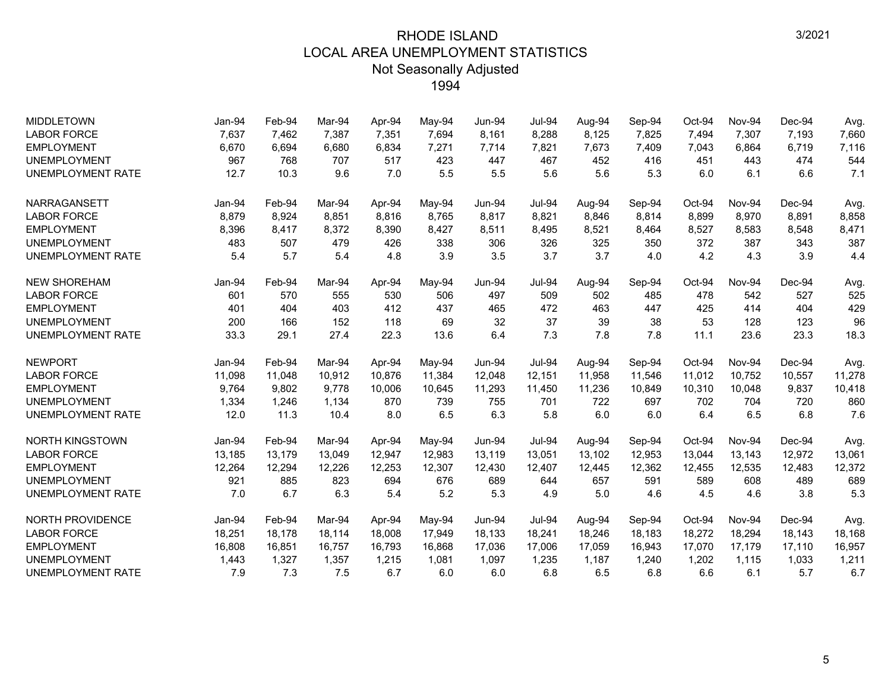| <b>MIDDLETOWN</b>        | Jan-94 | Feb-94 | Mar-94 | Apr-94 | May-94 | Jun-94 | <b>Jul-94</b> | Aug-94 | Sep-94 | Oct-94 | Nov-94        | Dec-94 | Avg.   |
|--------------------------|--------|--------|--------|--------|--------|--------|---------------|--------|--------|--------|---------------|--------|--------|
| <b>LABOR FORCE</b>       | 7,637  | 7,462  | 7,387  | 7,351  | 7,694  | 8,161  | 8,288         | 8,125  | 7,825  | 7,494  | 7,307         | 7,193  | 7,660  |
| <b>EMPLOYMENT</b>        | 6,670  | 6,694  | 6,680  | 6,834  | 7,271  | 7,714  | 7,821         | 7,673  | 7,409  | 7,043  | 6,864         | 6,719  | 7,116  |
| <b>UNEMPLOYMENT</b>      | 967    | 768    | 707    | 517    | 423    | 447    | 467           | 452    | 416    | 451    | 443           | 474    | 544    |
| <b>UNEMPLOYMENT RATE</b> | 12.7   | 10.3   | 9.6    | 7.0    | 5.5    | 5.5    | 5.6           | 5.6    | 5.3    | 6.0    | 6.1           | 6.6    | 7.1    |
| NARRAGANSETT             | Jan-94 | Feb-94 | Mar-94 | Apr-94 | May-94 | Jun-94 | <b>Jul-94</b> | Aug-94 | Sep-94 | Oct-94 | Nov-94        | Dec-94 | Avg.   |
| <b>LABOR FORCE</b>       | 8,879  | 8,924  | 8.851  | 8,816  | 8,765  | 8,817  | 8,821         | 8.846  | 8,814  | 8,899  | 8,970         | 8,891  | 8,858  |
| <b>EMPLOYMENT</b>        | 8,396  | 8,417  | 8,372  | 8,390  | 8,427  | 8,511  | 8,495         | 8,521  | 8,464  | 8,527  | 8,583         | 8,548  | 8,471  |
| <b>UNEMPLOYMENT</b>      | 483    | 507    | 479    | 426    | 338    | 306    | 326           | 325    | 350    | 372    | 387           | 343    | 387    |
| UNEMPLOYMENT RATE        | 5.4    | 5.7    | 5.4    | 4.8    | 3.9    | 3.5    | 3.7           | 3.7    | 4.0    | 4.2    | 4.3           | 3.9    | 4.4    |
| <b>NEW SHOREHAM</b>      | Jan-94 | Feb-94 | Mar-94 | Apr-94 | May-94 | Jun-94 | <b>Jul-94</b> | Aug-94 | Sep-94 | Oct-94 | Nov-94        | Dec-94 | Avg.   |
| <b>LABOR FORCE</b>       | 601    | 570    | 555    | 530    | 506    | 497    | 509           | 502    | 485    | 478    | 542           | 527    | 525    |
| <b>EMPLOYMENT</b>        | 401    | 404    | 403    | 412    | 437    | 465    | 472           | 463    | 447    | 425    | 414           | 404    | 429    |
| <b>UNEMPLOYMENT</b>      | 200    | 166    | 152    | 118    | 69     | 32     | 37            | 39     | 38     | 53     | 128           | 123    | 96     |
| UNEMPLOYMENT RATE        | 33.3   | 29.1   | 27.4   | 22.3   | 13.6   | 6.4    | 7.3           | 7.8    | 7.8    | 11.1   | 23.6          | 23.3   | 18.3   |
| <b>NEWPORT</b>           | Jan-94 | Feb-94 | Mar-94 | Apr-94 | May-94 | Jun-94 | <b>Jul-94</b> | Aug-94 | Sep-94 | Oct-94 | <b>Nov-94</b> | Dec-94 | Avg.   |
| <b>LABOR FORCE</b>       | 11,098 | 11,048 | 10,912 | 10,876 | 11,384 | 12,048 | 12,151        | 11,958 | 11,546 | 11,012 | 10,752        | 10,557 | 11,278 |
| <b>EMPLOYMENT</b>        | 9,764  | 9,802  | 9,778  | 10,006 | 10,645 | 11,293 | 11,450        | 11,236 | 10,849 | 10,310 | 10,048        | 9,837  | 10,418 |
| <b>UNEMPLOYMENT</b>      | 1,334  | 1,246  | 1,134  | 870    | 739    | 755    | 701           | 722    | 697    | 702    | 704           | 720    | 860    |
| <b>UNEMPLOYMENT RATE</b> | 12.0   | 11.3   | 10.4   | 8.0    | 6.5    | 6.3    | 5.8           | 6.0    | 6.0    | 6.4    | 6.5           | 6.8    | 7.6    |
| <b>NORTH KINGSTOWN</b>   | Jan-94 | Feb-94 | Mar-94 | Apr-94 | May-94 | Jun-94 | <b>Jul-94</b> | Aug-94 | Sep-94 | Oct-94 | Nov-94        | Dec-94 | Avg.   |
| <b>LABOR FORCE</b>       | 13,185 | 13,179 | 13,049 | 12,947 | 12,983 | 13,119 | 13,051        | 13,102 | 12,953 | 13,044 | 13,143        | 12,972 | 13,061 |
| <b>EMPLOYMENT</b>        | 12,264 | 12,294 | 12,226 | 12,253 | 12,307 | 12,430 | 12,407        | 12,445 | 12,362 | 12,455 | 12,535        | 12,483 | 12,372 |
| <b>UNEMPLOYMENT</b>      | 921    | 885    | 823    | 694    | 676    | 689    | 644           | 657    | 591    | 589    | 608           | 489    | 689    |
| UNEMPLOYMENT RATE        | 7.0    | 6.7    | 6.3    | 5.4    | 5.2    | 5.3    | 4.9           | 5.0    | 4.6    | 4.5    | 4.6           | 3.8    | 5.3    |
| <b>NORTH PROVIDENCE</b>  | Jan-94 | Feb-94 | Mar-94 | Apr-94 | May-94 | Jun-94 | <b>Jul-94</b> | Aug-94 | Sep-94 | Oct-94 | Nov-94        | Dec-94 | Avg.   |
| <b>LABOR FORCE</b>       | 18,251 | 18,178 | 18,114 | 18,008 | 17,949 | 18,133 | 18,241        | 18,246 | 18,183 | 18,272 | 18,294        | 18,143 | 18,168 |
| <b>EMPLOYMENT</b>        | 16,808 | 16,851 | 16,757 | 16,793 | 16,868 | 17,036 | 17,006        | 17,059 | 16,943 | 17,070 | 17,179        | 17,110 | 16,957 |
| <b>UNEMPLOYMENT</b>      | 1,443  | 1,327  | 1,357  | 1,215  | 1,081  | 1,097  | 1,235         | 1,187  | 1,240  | 1,202  | 1,115         | 1,033  | 1,211  |
| <b>UNEMPLOYMENT RATE</b> | 7.9    | 7.3    | 7.5    | 6.7    | 6.0    | 6.0    | 6.8           | 6.5    | 6.8    | 6.6    | 6.1           | 5.7    | 6.7    |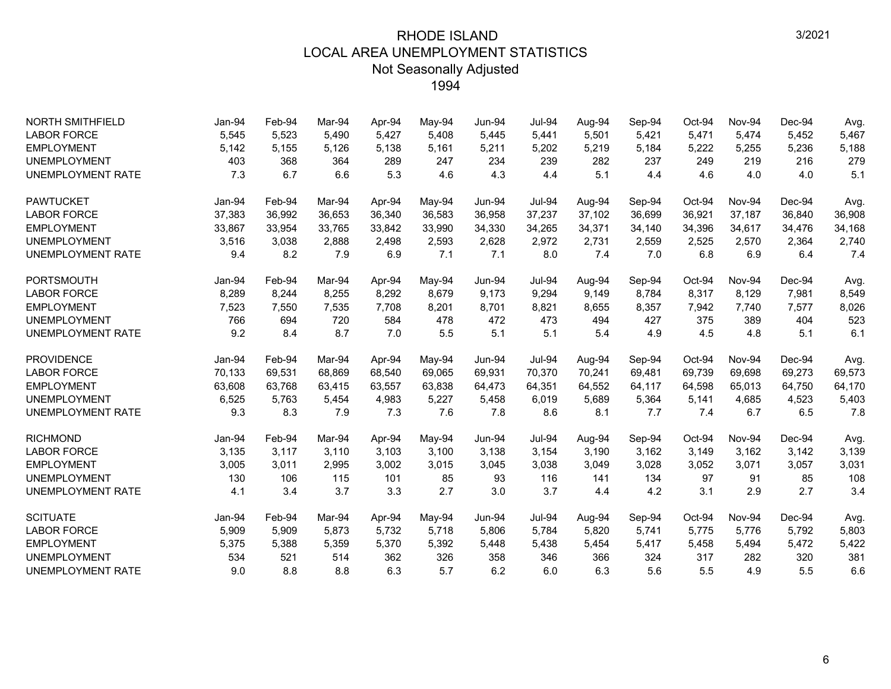| <b>NORTH SMITHFIELD</b>  | Jan-94 | Feb-94 | Mar-94 | Apr-94 | May-94 | Jun-94        | <b>Jul-94</b> | Aug-94 | Sep-94 | Oct-94 | Nov-94 | Dec-94 | Avg.   |
|--------------------------|--------|--------|--------|--------|--------|---------------|---------------|--------|--------|--------|--------|--------|--------|
| <b>LABOR FORCE</b>       | 5,545  | 5,523  | 5.490  | 5,427  | 5,408  | 5,445         | 5,441         | 5,501  | 5,421  | 5,471  | 5,474  | 5,452  | 5,467  |
| <b>EMPLOYMENT</b>        | 5,142  | 5,155  | 5,126  | 5,138  | 5,161  | 5,211         | 5,202         | 5,219  | 5,184  | 5,222  | 5,255  | 5,236  | 5,188  |
| <b>UNEMPLOYMENT</b>      | 403    | 368    | 364    | 289    | 247    | 234           | 239           | 282    | 237    | 249    | 219    | 216    | 279    |
| <b>UNEMPLOYMENT RATE</b> | 7.3    | 6.7    | 6.6    | 5.3    | 4.6    | 4.3           | 4.4           | 5.1    | 4.4    | 4.6    | 4.0    | 4.0    | 5.1    |
| <b>PAWTUCKET</b>         | Jan-94 | Feb-94 | Mar-94 | Apr-94 | May-94 | <b>Jun-94</b> | <b>Jul-94</b> | Aug-94 | Sep-94 | Oct-94 | Nov-94 | Dec-94 | Avg.   |
| <b>LABOR FORCE</b>       | 37,383 | 36,992 | 36,653 | 36,340 | 36,583 | 36,958        | 37,237        | 37,102 | 36,699 | 36,921 | 37,187 | 36,840 | 36,908 |
| <b>EMPLOYMENT</b>        | 33,867 | 33,954 | 33,765 | 33,842 | 33,990 | 34,330        | 34,265        | 34,371 | 34,140 | 34,396 | 34,617 | 34,476 | 34,168 |
| <b>UNEMPLOYMENT</b>      | 3,516  | 3,038  | 2,888  | 2,498  | 2,593  | 2,628         | 2,972         | 2,731  | 2,559  | 2,525  | 2,570  | 2,364  | 2,740  |
| <b>UNEMPLOYMENT RATE</b> | 9.4    | 8.2    | 7.9    | 6.9    | 7.1    | 7.1           | 8.0           | 7.4    | 7.0    | 6.8    | 6.9    | 6.4    | 7.4    |
| <b>PORTSMOUTH</b>        | Jan-94 | Feb-94 | Mar-94 | Apr-94 | May-94 | <b>Jun-94</b> | <b>Jul-94</b> | Aug-94 | Sep-94 | Oct-94 | Nov-94 | Dec-94 | Avg.   |
| <b>LABOR FORCE</b>       | 8,289  | 8,244  | 8,255  | 8,292  | 8,679  | 9,173         | 9,294         | 9,149  | 8,784  | 8,317  | 8,129  | 7,981  | 8,549  |
| <b>EMPLOYMENT</b>        | 7,523  | 7,550  | 7,535  | 7,708  | 8,201  | 8,701         | 8,821         | 8,655  | 8,357  | 7,942  | 7,740  | 7,577  | 8,026  |
| <b>UNEMPLOYMENT</b>      | 766    | 694    | 720    | 584    | 478    | 472           | 473           | 494    | 427    | 375    | 389    | 404    | 523    |
| <b>UNEMPLOYMENT RATE</b> | 9.2    | 8.4    | 8.7    | 7.0    | 5.5    | 5.1           | 5.1           | 5.4    | 4.9    | 4.5    | 4.8    | 5.1    | 6.1    |
| <b>PROVIDENCE</b>        | Jan-94 | Feb-94 | Mar-94 | Apr-94 | May-94 | $Jun-94$      | <b>Jul-94</b> | Aug-94 | Sep-94 | Oct-94 | Nov-94 | Dec-94 | Avg.   |
| <b>LABOR FORCE</b>       | 70,133 | 69,531 | 68,869 | 68,540 | 69,065 | 69,931        | 70,370        | 70,241 | 69,481 | 69,739 | 69,698 | 69,273 | 69,573 |
| <b>EMPLOYMENT</b>        | 63,608 | 63,768 | 63.415 | 63,557 | 63,838 | 64,473        | 64,351        | 64,552 | 64,117 | 64,598 | 65,013 | 64,750 | 64,170 |
| <b>UNEMPLOYMENT</b>      | 6,525  | 5,763  | 5,454  | 4,983  | 5,227  | 5,458         | 6,019         | 5,689  | 5,364  | 5,141  | 4,685  | 4,523  | 5,403  |
| <b>UNEMPLOYMENT RATE</b> | 9.3    | 8.3    | 7.9    | 7.3    | 7.6    | 7.8           | 8.6           | 8.1    | 7.7    | 7.4    | 6.7    | 6.5    | 7.8    |
| <b>RICHMOND</b>          | Jan-94 | Feb-94 | Mar-94 | Apr-94 | May-94 | <b>Jun-94</b> | <b>Jul-94</b> | Aug-94 | Sep-94 | Oct-94 | Nov-94 | Dec-94 | Avg.   |
| <b>LABOR FORCE</b>       | 3,135  | 3,117  | 3,110  | 3,103  | 3,100  | 3,138         | 3,154         | 3,190  | 3,162  | 3,149  | 3,162  | 3,142  | 3,139  |
| <b>EMPLOYMENT</b>        | 3,005  | 3,011  | 2,995  | 3,002  | 3,015  | 3,045         | 3,038         | 3,049  | 3,028  | 3,052  | 3,071  | 3,057  | 3,031  |
| <b>UNEMPLOYMENT</b>      | 130    | 106    | 115    | 101    | 85     | 93            | 116           | 141    | 134    | 97     | 91     | 85     | 108    |
| <b>UNEMPLOYMENT RATE</b> | 4.1    | 3.4    | 3.7    | 3.3    | 2.7    | 3.0           | 3.7           | 4.4    | 4.2    | 3.1    | 2.9    | 2.7    | 3.4    |
| <b>SCITUATE</b>          | Jan-94 | Feb-94 | Mar-94 | Apr-94 | May-94 | Jun-94        | Jul-94        | Aug-94 | Sep-94 | Oct-94 | Nov-94 | Dec-94 | Avg.   |
| <b>LABOR FORCE</b>       | 5,909  | 5,909  | 5,873  | 5,732  | 5,718  | 5,806         | 5,784         | 5,820  | 5,741  | 5,775  | 5,776  | 5,792  | 5,803  |
| <b>EMPLOYMENT</b>        | 5,375  | 5,388  | 5,359  | 5,370  | 5,392  | 5,448         | 5,438         | 5,454  | 5,417  | 5,458  | 5,494  | 5,472  | 5,422  |
| <b>UNEMPLOYMENT</b>      | 534    | 521    | 514    | 362    | 326    | 358           | 346           | 366    | 324    | 317    | 282    | 320    | 381    |
| <b>UNEMPLOYMENT RATE</b> | 9.0    | 8.8    | 8.8    | 6.3    | 5.7    | 6.2           | 6.0           | 6.3    | 5.6    | 5.5    | 4.9    | 5.5    | 6.6    |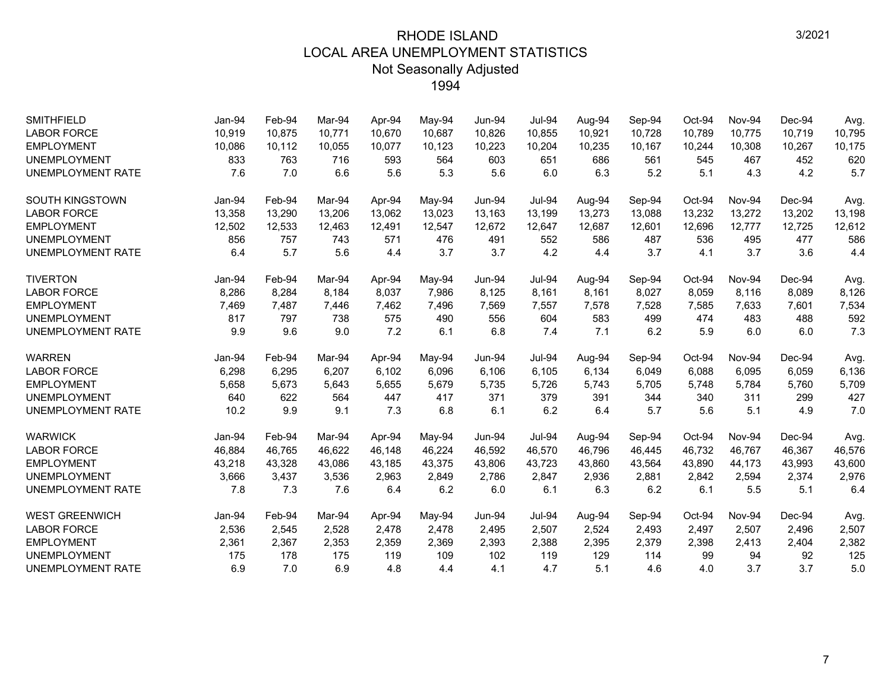| <b>SMITHFIELD</b>        | Jan-94 | Feb-94 | Mar-94 | Apr-94 | May-94 | <b>Jun-94</b> | <b>Jul-94</b> | Aug-94 | Sep-94 | Oct-94 | Nov-94 | Dec-94 | Avg.   |
|--------------------------|--------|--------|--------|--------|--------|---------------|---------------|--------|--------|--------|--------|--------|--------|
| <b>LABOR FORCE</b>       | 10,919 | 10,875 | 10.771 | 10,670 | 10,687 | 10,826        | 10,855        | 10,921 | 10,728 | 10,789 | 10,775 | 10,719 | 10,795 |
| <b>EMPLOYMENT</b>        | 10,086 | 10,112 | 10,055 | 10,077 | 10,123 | 10,223        | 10,204        | 10,235 | 10,167 | 10,244 | 10,308 | 10,267 | 10,175 |
| <b>UNEMPLOYMENT</b>      | 833    | 763    | 716    | 593    | 564    | 603           | 651           | 686    | 561    | 545    | 467    | 452    | 620    |
| <b>UNEMPLOYMENT RATE</b> | 7.6    | 7.0    | 6.6    | 5.6    | 5.3    | 5.6           | 6.0           | 6.3    | 5.2    | 5.1    | 4.3    | 4.2    | 5.7    |
| <b>SOUTH KINGSTOWN</b>   | Jan-94 | Feb-94 | Mar-94 | Apr-94 | May-94 | <b>Jun-94</b> | <b>Jul-94</b> | Aug-94 | Sep-94 | Oct-94 | Nov-94 | Dec-94 | Avg.   |
| <b>LABOR FORCE</b>       | 13,358 | 13,290 | 13,206 | 13,062 | 13,023 | 13,163        | 13,199        | 13,273 | 13,088 | 13,232 | 13,272 | 13,202 | 13,198 |
| <b>EMPLOYMENT</b>        | 12,502 | 12,533 | 12,463 | 12,491 | 12,547 | 12,672        | 12,647        | 12,687 | 12,601 | 12,696 | 12,777 | 12,725 | 12,612 |
| <b>UNEMPLOYMENT</b>      | 856    | 757    | 743    | 571    | 476    | 491           | 552           | 586    | 487    | 536    | 495    | 477    | 586    |
| <b>UNEMPLOYMENT RATE</b> | 6.4    | 5.7    | 5.6    | 4.4    | 3.7    | 3.7           | 4.2           | 4.4    | 3.7    | 4.1    | 3.7    | 3.6    | 4.4    |
| <b>TIVERTON</b>          | Jan-94 | Feb-94 | Mar-94 | Apr-94 | May-94 | Jun-94        | Jul-94        | Aug-94 | Sep-94 | Oct-94 | Nov-94 | Dec-94 | Avg.   |
| <b>LABOR FORCE</b>       | 8,286  | 8,284  | 8.184  | 8,037  | 7,986  | 8,125         | 8,161         | 8,161  | 8,027  | 8,059  | 8,116  | 8,089  | 8,126  |
| <b>EMPLOYMENT</b>        | 7,469  | 7,487  | 7,446  | 7,462  | 7,496  | 7,569         | 7,557         | 7,578  | 7,528  | 7,585  | 7,633  | 7,601  | 7,534  |
| <b>UNEMPLOYMENT</b>      | 817    | 797    | 738    | 575    | 490    | 556           | 604           | 583    | 499    | 474    | 483    | 488    | 592    |
| <b>UNEMPLOYMENT RATE</b> | 9.9    | 9.6    | 9.0    | 7.2    | 6.1    | 6.8           | 7.4           | 7.1    | 6.2    | 5.9    | 6.0    | 6.0    | 7.3    |
| <b>WARREN</b>            | Jan-94 | Feb-94 | Mar-94 | Apr-94 | May-94 | Jun-94        | <b>Jul-94</b> | Aug-94 | Sep-94 | Oct-94 | Nov-94 | Dec-94 | Avg.   |
| <b>LABOR FORCE</b>       | 6,298  | 6,295  | 6.207  | 6,102  | 6,096  | 6.106         | 6,105         | 6.134  | 6,049  | 6,088  | 6,095  | 6,059  | 6,136  |
| <b>EMPLOYMENT</b>        | 5,658  | 5,673  | 5,643  | 5,655  | 5,679  | 5,735         | 5,726         | 5,743  | 5,705  | 5,748  | 5,784  | 5,760  | 5,709  |
| <b>UNEMPLOYMENT</b>      | 640    | 622    | 564    | 447    | 417    | 371           | 379           | 391    | 344    | 340    | 311    | 299    | 427    |
| <b>UNEMPLOYMENT RATE</b> | 10.2   | 9.9    | 9.1    | 7.3    | 6.8    | 6.1           | 6.2           | 6.4    | 5.7    | 5.6    | 5.1    | 4.9    | 7.0    |
| <b>WARWICK</b>           | Jan-94 | Feb-94 | Mar-94 | Apr-94 | May-94 | <b>Jun-94</b> | <b>Jul-94</b> | Aug-94 | Sep-94 | Oct-94 | Nov-94 | Dec-94 | Avg.   |
| <b>LABOR FORCE</b>       | 46,884 | 46.765 | 46.622 | 46.148 | 46,224 | 46,592        | 46.570        | 46.796 | 46,445 | 46,732 | 46.767 | 46,367 | 46,576 |
| <b>EMPLOYMENT</b>        | 43,218 | 43,328 | 43,086 | 43,185 | 43,375 | 43,806        | 43,723        | 43,860 | 43,564 | 43,890 | 44,173 | 43,993 | 43,600 |
| <b>UNEMPLOYMENT</b>      | 3,666  | 3,437  | 3,536  | 2,963  | 2,849  | 2,786         | 2,847         | 2,936  | 2,881  | 2,842  | 2,594  | 2,374  | 2,976  |
| <b>UNEMPLOYMENT RATE</b> | 7.8    | 7.3    | 7.6    | 6.4    | 6.2    | 6.0           | 6.1           | 6.3    | 6.2    | 6.1    | 5.5    | 5.1    | 6.4    |
| <b>WEST GREENWICH</b>    | Jan-94 | Feb-94 | Mar-94 | Apr-94 | May-94 | $Jun-94$      | <b>Jul-94</b> | Aug-94 | Sep-94 | Oct-94 | Nov-94 | Dec-94 | Avg.   |
| <b>LABOR FORCE</b>       | 2,536  | 2,545  | 2,528  | 2,478  | 2,478  | 2,495         | 2,507         | 2,524  | 2,493  | 2,497  | 2,507  | 2,496  | 2,507  |
| <b>EMPLOYMENT</b>        | 2,361  | 2,367  | 2,353  | 2,359  | 2,369  | 2,393         | 2,388         | 2,395  | 2,379  | 2,398  | 2,413  | 2,404  | 2,382  |
| <b>UNEMPLOYMENT</b>      | 175    | 178    | 175    | 119    | 109    | 102           | 119           | 129    | 114    | 99     | 94     | 92     | 125    |
| <b>UNEMPLOYMENT RATE</b> | 6.9    | 7.0    | 6.9    | 4.8    | 4.4    | 4.1           | 4.7           | 5.1    | 4.6    | 4.0    | 3.7    | 3.7    | 5.0    |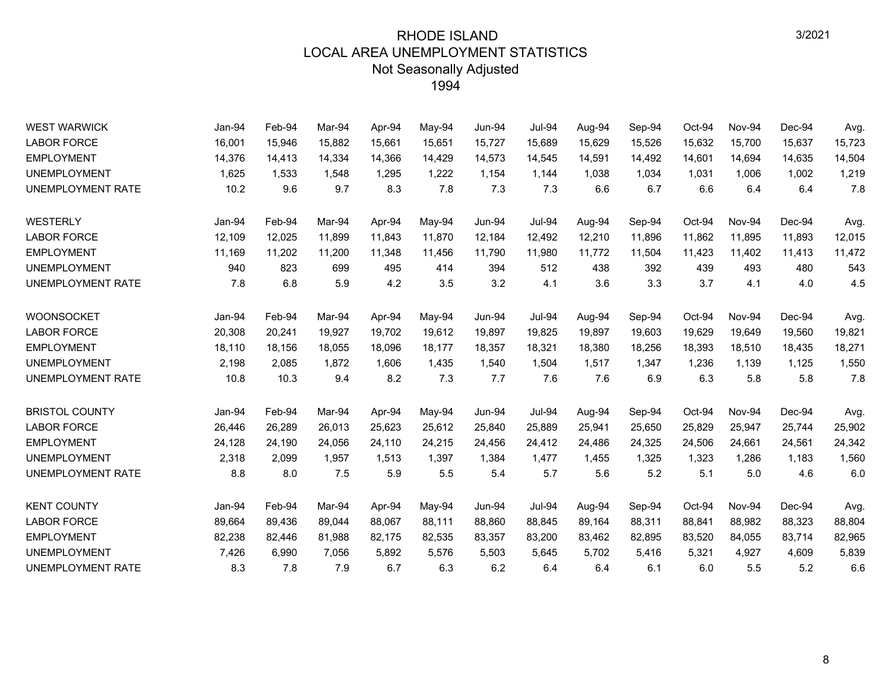| <b>WEST WARWICK</b>      | Jan-94 | Feb-94 | Mar-94 | Apr-94 | May-94 | <b>Jun-94</b> | <b>Jul-94</b> | Aug-94 | Sep-94 | Oct-94 | Nov-94 | Dec-94 | Avg.   |
|--------------------------|--------|--------|--------|--------|--------|---------------|---------------|--------|--------|--------|--------|--------|--------|
| <b>LABOR FORCE</b>       | 16,001 | 15,946 | 15,882 | 15,661 | 15,651 | 15,727        | 15,689        | 15,629 | 15,526 | 15,632 | 15,700 | 15,637 | 15,723 |
| <b>EMPLOYMENT</b>        | 14,376 | 14,413 | 14,334 | 14,366 | 14,429 | 14,573        | 14,545        | 14,591 | 14,492 | 14,601 | 14,694 | 14,635 | 14,504 |
| <b>UNEMPLOYMENT</b>      | 1,625  | 1,533  | 1,548  | 1,295  | 1,222  | 1,154         | 1,144         | 1,038  | 1,034  | 1,031  | 1,006  | 1,002  | 1,219  |
| <b>UNEMPLOYMENT RATE</b> | 10.2   | 9.6    | 9.7    | 8.3    | 7.8    | 7.3           | 7.3           | 6.6    | 6.7    | 6.6    | 6.4    | 6.4    | 7.8    |
| <b>WESTERLY</b>          | Jan-94 | Feb-94 | Mar-94 | Apr-94 | May-94 | <b>Jun-94</b> | <b>Jul-94</b> | Aug-94 | Sep-94 | Oct-94 | Nov-94 | Dec-94 | Avg.   |
| <b>LABOR FORCE</b>       | 12,109 | 12,025 | 11,899 | 11,843 | 11,870 | 12,184        | 12,492        | 12,210 | 11,896 | 11,862 | 11,895 | 11,893 | 12,015 |
| <b>EMPLOYMENT</b>        | 11,169 | 11,202 | 11,200 | 11,348 | 11,456 | 11,790        | 11,980        | 11,772 | 11,504 | 11,423 | 11,402 | 11,413 | 11,472 |
| <b>UNEMPLOYMENT</b>      | 940    | 823    | 699    | 495    | 414    | 394           | 512           | 438    | 392    | 439    | 493    | 480    | 543    |
| UNEMPLOYMENT RATE        | 7.8    | 6.8    | 5.9    | 4.2    | 3.5    | 3.2           | 4.1           | 3.6    | 3.3    | 3.7    | 4.1    | 4.0    | 4.5    |
| <b>WOONSOCKET</b>        | Jan-94 | Feb-94 | Mar-94 | Apr-94 | May-94 | <b>Jun-94</b> | <b>Jul-94</b> | Aug-94 | Sep-94 | Oct-94 | Nov-94 | Dec-94 | Avg.   |
| <b>LABOR FORCE</b>       | 20,308 | 20,241 | 19,927 | 19,702 | 19,612 | 19,897        | 19,825        | 19,897 | 19,603 | 19,629 | 19,649 | 19,560 | 19,821 |
| <b>EMPLOYMENT</b>        | 18,110 | 18,156 | 18,055 | 18,096 | 18,177 | 18,357        | 18,321        | 18,380 | 18,256 | 18,393 | 18,510 | 18,435 | 18,271 |
| <b>UNEMPLOYMENT</b>      | 2,198  | 2,085  | 1,872  | 1,606  | 1,435  | 1,540         | 1,504         | 1,517  | 1,347  | 1,236  | 1,139  | 1,125  | 1,550  |
| UNEMPLOYMENT RATE        | 10.8   | 10.3   | 9.4    | 8.2    | 7.3    | 7.7           | 7.6           | 7.6    | 6.9    | 6.3    | 5.8    | 5.8    | 7.8    |
| <b>BRISTOL COUNTY</b>    | Jan-94 | Feb-94 | Mar-94 | Apr-94 | May-94 | <b>Jun-94</b> | <b>Jul-94</b> | Aug-94 | Sep-94 | Oct-94 | Nov-94 | Dec-94 | Avg.   |
| <b>LABOR FORCE</b>       | 26,446 | 26,289 | 26,013 | 25,623 | 25,612 | 25,840        | 25,889        | 25,941 | 25,650 | 25,829 | 25,947 | 25,744 | 25,902 |
| <b>EMPLOYMENT</b>        | 24,128 | 24,190 | 24,056 | 24,110 | 24,215 | 24,456        | 24,412        | 24,486 | 24,325 | 24,506 | 24,661 | 24,561 | 24,342 |
| <b>UNEMPLOYMENT</b>      | 2,318  | 2,099  | 1,957  | 1,513  | 1,397  | 1,384         | 1,477         | 1,455  | 1,325  | 1,323  | 1,286  | 1,183  | 1,560  |
| UNEMPLOYMENT RATE        | 8.8    | 8.0    | 7.5    | 5.9    | 5.5    | 5.4           | 5.7           | 5.6    | 5.2    | 5.1    | 5.0    | 4.6    | 6.0    |
| <b>KENT COUNTY</b>       | Jan-94 | Feb-94 | Mar-94 | Apr-94 | May-94 | <b>Jun-94</b> | <b>Jul-94</b> | Aug-94 | Sep-94 | Oct-94 | Nov-94 | Dec-94 | Avg.   |
| <b>LABOR FORCE</b>       | 89,664 | 89,436 | 89,044 | 88,067 | 88,111 | 88,860        | 88,845        | 89,164 | 88,311 | 88,841 | 88,982 | 88,323 | 88,804 |
| <b>EMPLOYMENT</b>        | 82,238 | 82,446 | 81,988 | 82,175 | 82,535 | 83,357        | 83,200        | 83,462 | 82,895 | 83,520 | 84,055 | 83,714 | 82,965 |
| <b>UNEMPLOYMENT</b>      | 7,426  | 6,990  | 7,056  | 5,892  | 5,576  | 5,503         | 5,645         | 5,702  | 5,416  | 5,321  | 4,927  | 4,609  | 5,839  |
| UNEMPLOYMENT RATE        | 8.3    | 7.8    | 7.9    | 6.7    | 6.3    | 6.2           | 6.4           | 6.4    | 6.1    | 6.0    | 5.5    | 5.2    | 6.6    |